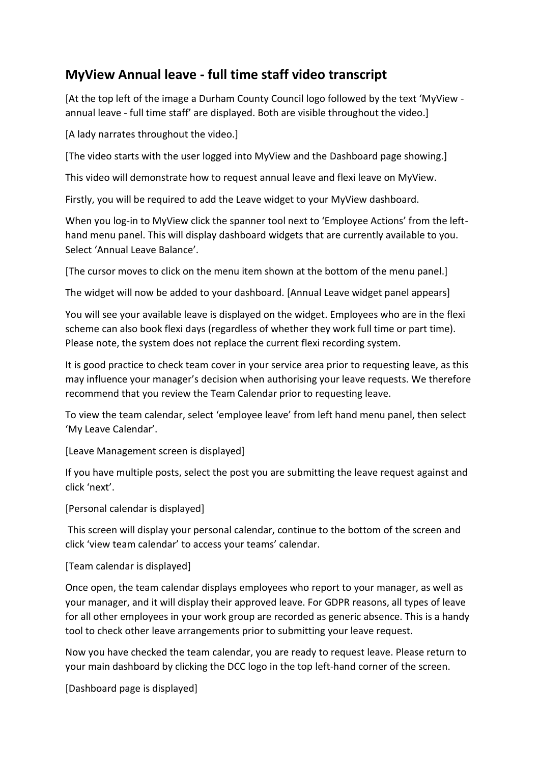## **MyView Annual leave - full time staff video transcript**

[At the top left of the image a Durham County Council logo followed by the text 'MyView annual leave - full time staff' are displayed. Both are visible throughout the video.]

[A lady narrates throughout the video.]

[The video starts with the user logged into MyView and the Dashboard page showing.]

This video will demonstrate how to request annual leave and flexi leave on MyView.

Firstly, you will be required to add the Leave widget to your MyView dashboard.

When you log-in to MyView click the spanner tool next to 'Employee Actions' from the lefthand menu panel. This will display dashboard widgets that are currently available to you. Select 'Annual Leave Balance'.

[The cursor moves to click on the menu item shown at the bottom of the menu panel.]

The widget will now be added to your dashboard. [Annual Leave widget panel appears]

You will see your available leave is displayed on the widget. Employees who are in the flexi scheme can also book flexi days (regardless of whether they work full time or part time). Please note, the system does not replace the current flexi recording system.

It is good practice to check team cover in your service area prior to requesting leave, as this may influence your manager's decision when authorising your leave requests. We therefore recommend that you review the Team Calendar prior to requesting leave.

To view the team calendar, select 'employee leave' from left hand menu panel, then select 'My Leave Calendar'.

[Leave Management screen is displayed]

If you have multiple posts, select the post you are submitting the leave request against and click 'next'.

[Personal calendar is displayed]

 This screen will display your personal calendar, continue to the bottom of the screen and click 'view team calendar' to access your teams' calendar.

[Team calendar is displayed]

Once open, the team calendar displays employees who report to your manager, as well as your manager, and it will display their approved leave. For GDPR reasons, all types of leave for all other employees in your work group are recorded as generic absence. This is a handy tool to check other leave arrangements prior to submitting your leave request.

Now you have checked the team calendar, you are ready to request leave. Please return to your main dashboard by clicking the DCC logo in the top left-hand corner of the screen.

[Dashboard page is displayed]